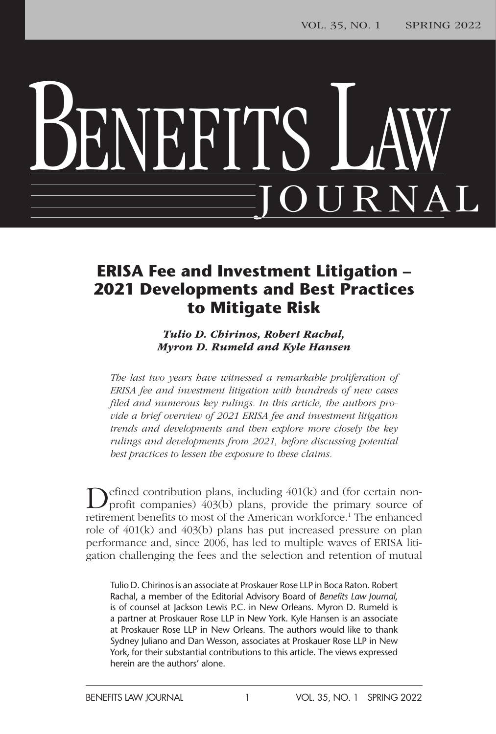# BENEFITS LAW JOURNAL

### **ERISA Fee and Investment Litigation – 2021 Developments and Best Practices to Mitigate Risk**

*Tulio D. Chirinos, Robert Rachal, Myron D. Rumeld and Kyle Hansen*

*The last two years have witnessed a remarkable proliferation of ERISA fee and investment litigation with hundreds of new cases filed and numerous key rulings. In this article, the authors provide a brief overview of 2021 ERISA fee and investment litigation trends and developments and then explore more closely the key rulings and developments from 2021, before discussing potential best practices to lessen the exposure to these claims.*

Defined contribution plans, including 401(k) and (for certain non-<br>profit companies) 403(b) plans, provide the primary source of retirement benefits to most of the American workforce.<sup>1</sup> The enhanced role of 401(k) and 403(b) plans has put increased pressure on plan performance and, since 2006, has led to multiple waves of ERISA litigation challenging the fees and the selection and retention of mutual

Tulio D. Chirinos is an associate at Proskauer Rose LLP in Boca Raton. Robert Rachal, a member of the Editorial Advisory Board of *Benefits Law Journal*, is of counsel at Jackson Lewis P.C. in New Orleans. Myron D. Rumeld is a partner at Proskauer Rose LLP in New York. Kyle Hansen is an associate at Proskauer Rose LLP in New Orleans. The authors would like to thank Sydney Juliano and Dan Wesson, associates at Proskauer Rose LLP in New York, for their substantial contributions to this article. The views expressed herein are the authors' alone.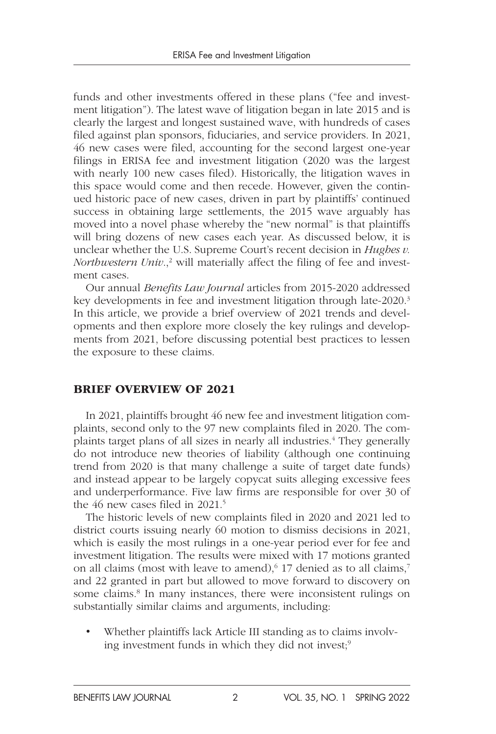funds and other investments offered in these plans ("fee and investment litigation"). The latest wave of litigation began in late 2015 and is clearly the largest and longest sustained wave, with hundreds of cases filed against plan sponsors, fiduciaries, and service providers. In 2021, 46 new cases were filed, accounting for the second largest one-year filings in ERISA fee and investment litigation (2020 was the largest with nearly 100 new cases filed). Historically, the litigation waves in this space would come and then recede. However, given the continued historic pace of new cases, driven in part by plaintiffs' continued success in obtaining large settlements, the 2015 wave arguably has moved into a novel phase whereby the "new normal" is that plaintiffs will bring dozens of new cases each year. As discussed below, it is unclear whether the U.S. Supreme Court's recent decision in *Hughes v. Northwestern Univ.*,<sup>2</sup> will materially affect the filing of fee and investment cases.

Our annual *Benefits Law Journal* articles from 2015-2020 addressed key developments in fee and investment litigation through late-2020.<sup>3</sup> In this article, we provide a brief overview of 2021 trends and developments and then explore more closely the key rulings and developments from 2021, before discussing potential best practices to lessen the exposure to these claims.

#### BRIEF OVERVIEW OF 2021

In 2021, plaintiffs brought 46 new fee and investment litigation complaints, second only to the 97 new complaints filed in 2020. The complaints target plans of all sizes in nearly all industries.<sup>4</sup> They generally do not introduce new theories of liability (although one continuing trend from 2020 is that many challenge a suite of target date funds) and instead appear to be largely copycat suits alleging excessive fees and underperformance. Five law firms are responsible for over 30 of the 46 new cases filed in 2021.<sup>5</sup>

The historic levels of new complaints filed in 2020 and 2021 led to district courts issuing nearly 60 motion to dismiss decisions in 2021, which is easily the most rulings in a one-year period ever for fee and investment litigation. The results were mixed with 17 motions granted on all claims (most with leave to amend),<sup>6</sup> 17 denied as to all claims,<sup>7</sup> and 22 granted in part but allowed to move forward to discovery on some claims.<sup>8</sup> In many instances, there were inconsistent rulings on substantially similar claims and arguments, including:

• Whether plaintiffs lack Article III standing as to claims involving investment funds in which they did not invest;<sup>9</sup>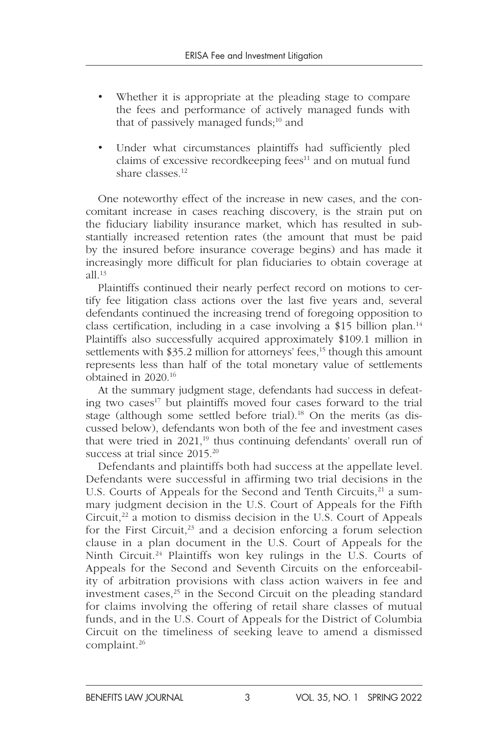- Whether it is appropriate at the pleading stage to compare the fees and performance of actively managed funds with that of passively managed funds;<sup>10</sup> and
- Under what circumstances plaintiffs had sufficiently pled claims of excessive recordkeeping fees $11$  and on mutual fund share classes.<sup>12</sup>

One noteworthy effect of the increase in new cases, and the concomitant increase in cases reaching discovery, is the strain put on the fiduciary liability insurance market, which has resulted in substantially increased retention rates (the amount that must be paid by the insured before insurance coverage begins) and has made it increasingly more difficult for plan fiduciaries to obtain coverage at  $all.^{13}$ 

Plaintiffs continued their nearly perfect record on motions to certify fee litigation class actions over the last five years and, several defendants continued the increasing trend of foregoing opposition to class certification, including in a case involving a \$15 billion plan.<sup>14</sup> Plaintiffs also successfully acquired approximately \$109.1 million in settlements with \$35.2 million for attorneys' fees,<sup>15</sup> though this amount represents less than half of the total monetary value of settlements obtained in 2020.16

At the summary judgment stage, defendants had success in defeating two cases<sup>17</sup> but plaintiffs moved four cases forward to the trial stage (although some settled before trial).<sup>18</sup> On the merits (as discussed below), defendants won both of the fee and investment cases that were tried in  $2021$ ,<sup>19</sup> thus continuing defendants' overall run of success at trial since 2015.<sup>20</sup>

Defendants and plaintiffs both had success at the appellate level. Defendants were successful in affirming two trial decisions in the U.S. Courts of Appeals for the Second and Tenth Circuits,<sup>21</sup> a summary judgment decision in the U.S. Court of Appeals for the Fifth Circuit, $^{22}$  a motion to dismiss decision in the U.S. Court of Appeals for the First Circuit,  $23$  and a decision enforcing a forum selection clause in a plan document in the U.S. Court of Appeals for the Ninth Circuit.<sup>24</sup> Plaintiffs won key rulings in the U.S. Courts of Appeals for the Second and Seventh Circuits on the enforceability of arbitration provisions with class action waivers in fee and investment cases, $^{25}$  in the Second Circuit on the pleading standard for claims involving the offering of retail share classes of mutual funds, and in the U.S. Court of Appeals for the District of Columbia Circuit on the timeliness of seeking leave to amend a dismissed complaint.26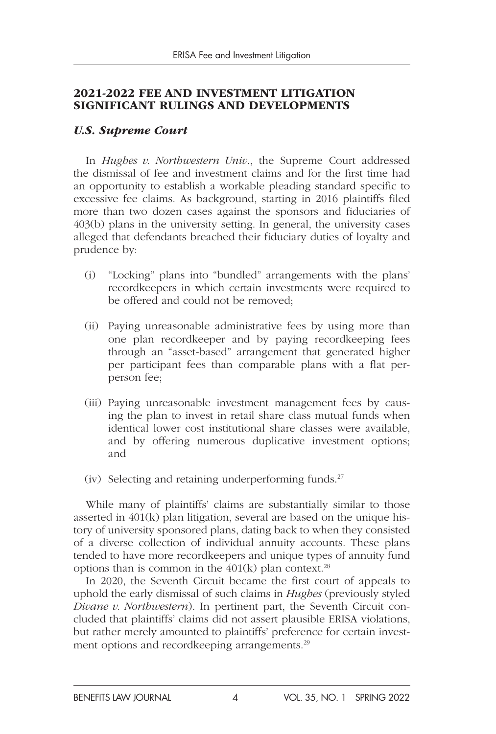#### 2021-2022 FEE AND INVESTMENT LITIGATION SIGNIFICANT RULINGS AND DEVELOPMENTS

#### *U.S. Supreme Court*

In *Hughes v. Northwestern Univ*., the Supreme Court addressed the dismissal of fee and investment claims and for the first time had an opportunity to establish a workable pleading standard specific to excessive fee claims. As background, starting in 2016 plaintiffs filed more than two dozen cases against the sponsors and fiduciaries of 403(b) plans in the university setting. In general, the university cases alleged that defendants breached their fiduciary duties of loyalty and prudence by:

- (i) "Locking" plans into "bundled" arrangements with the plans' recordkeepers in which certain investments were required to be offered and could not be removed;
- (ii) Paying unreasonable administrative fees by using more than one plan recordkeeper and by paying recordkeeping fees through an "asset-based" arrangement that generated higher per participant fees than comparable plans with a flat perperson fee;
- (iii) Paying unreasonable investment management fees by causing the plan to invest in retail share class mutual funds when identical lower cost institutional share classes were available, and by offering numerous duplicative investment options; and
- (iv) Selecting and retaining underperforming funds.<sup>27</sup>

While many of plaintiffs' claims are substantially similar to those asserted in 401(k) plan litigation, several are based on the unique history of university sponsored plans, dating back to when they consisted of a diverse collection of individual annuity accounts. These plans tended to have more recordkeepers and unique types of annuity fund options than is common in the  $401(k)$  plan context.<sup>28</sup>

In 2020, the Seventh Circuit became the first court of appeals to uphold the early dismissal of such claims in *Hughes* (previously styled *Divane v. Northwestern*). In pertinent part, the Seventh Circuit concluded that plaintiffs' claims did not assert plausible ERISA violations, but rather merely amounted to plaintiffs' preference for certain investment options and recordkeeping arrangements.29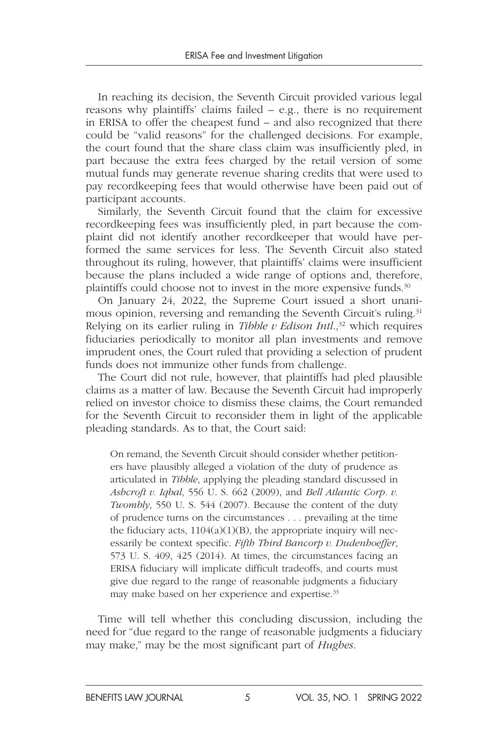In reaching its decision, the Seventh Circuit provided various legal reasons why plaintiffs' claims failed – e.g., there is no requirement in ERISA to offer the cheapest fund – and also recognized that there could be "valid reasons" for the challenged decisions. For example, the court found that the share class claim was insufficiently pled, in part because the extra fees charged by the retail version of some mutual funds may generate revenue sharing credits that were used to pay recordkeeping fees that would otherwise have been paid out of participant accounts.

Similarly, the Seventh Circuit found that the claim for excessive recordkeeping fees was insufficiently pled, in part because the complaint did not identify another recordkeeper that would have performed the same services for less. The Seventh Circuit also stated throughout its ruling, however, that plaintiffs' claims were insufficient because the plans included a wide range of options and, therefore, plaintiffs could choose not to invest in the more expensive funds.<sup>30</sup>

On January 24, 2022, the Supreme Court issued a short unanimous opinion, reversing and remanding the Seventh Circuit's ruling.<sup>31</sup> Relying on its earlier ruling in *Tibble v Edison Intl.*,<sup>32</sup> which requires fiduciaries periodically to monitor all plan investments and remove imprudent ones, the Court ruled that providing a selection of prudent funds does not immunize other funds from challenge.

The Court did not rule, however, that plaintiffs had pled plausible claims as a matter of law. Because the Seventh Circuit had improperly relied on investor choice to dismiss these claims, the Court remanded for the Seventh Circuit to reconsider them in light of the applicable pleading standards. As to that, the Court said:

On remand, the Seventh Circuit should consider whether petitioners have plausibly alleged a violation of the duty of prudence as articulated in *Tibble*, applying the pleading standard discussed in *Ashcroft v. Iqbal*, 556 U. S. 662 (2009), and *Bell Atlantic Corp. v. Twombly*, 550 U. S. 544 (2007). Because the content of the duty of prudence turns on the circumstances . . . prevailing at the time the fiduciary acts,  $1104(a)(1)(B)$ , the appropriate inquiry will necessarily be context specific. *Fifth Third Bancorp v. Dudenhoeffer*, 573 U. S. 409, 425 (2014). At times, the circumstances facing an ERISA fiduciary will implicate difficult tradeoffs, and courts must give due regard to the range of reasonable judgments a fiduciary may make based on her experience and expertise.<sup>33</sup>

Time will tell whether this concluding discussion, including the need for "due regard to the range of reasonable judgments a fiduciary may make," may be the most significant part of *Hughes*.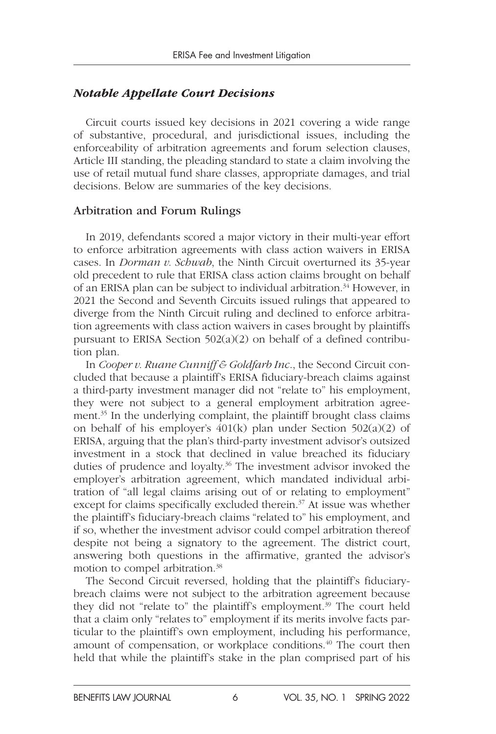#### *Notable Appellate Court Decisions*

Circuit courts issued key decisions in 2021 covering a wide range of substantive, procedural, and jurisdictional issues, including the enforceability of arbitration agreements and forum selection clauses, Article III standing, the pleading standard to state a claim involving the use of retail mutual fund share classes, appropriate damages, and trial decisions. Below are summaries of the key decisions.

#### Arbitration and Forum Rulings

In 2019, defendants scored a major victory in their multi-year effort to enforce arbitration agreements with class action waivers in ERISA cases. In *Dorman v. Schwab*, the Ninth Circuit overturned its 35-year old precedent to rule that ERISA class action claims brought on behalf of an ERISA plan can be subject to individual arbitration.<sup>34</sup> However, in 2021 the Second and Seventh Circuits issued rulings that appeared to diverge from the Ninth Circuit ruling and declined to enforce arbitration agreements with class action waivers in cases brought by plaintiffs pursuant to ERISA Section 502(a)(2) on behalf of a defined contribution plan.

In *Cooper v. Ruane Cunniff & Goldfarb Inc*., the Second Circuit concluded that because a plaintiff's ERISA fiduciary-breach claims against a third-party investment manager did not "relate to" his employment, they were not subject to a general employment arbitration agreement.35 In the underlying complaint, the plaintiff brought class claims on behalf of his employer's 401(k) plan under Section 502(a)(2) of ERISA, arguing that the plan's third-party investment advisor's outsized investment in a stock that declined in value breached its fiduciary duties of prudence and loyalty.<sup>36</sup> The investment advisor invoked the employer's arbitration agreement, which mandated individual arbitration of "all legal claims arising out of or relating to employment" except for claims specifically excluded therein.<sup>37</sup> At issue was whether the plaintiff's fiduciary-breach claims "related to" his employment, and if so, whether the investment advisor could compel arbitration thereof despite not being a signatory to the agreement. The district court, answering both questions in the affirmative, granted the advisor's motion to compel arbitration.38

The Second Circuit reversed, holding that the plaintiff's fiduciarybreach claims were not subject to the arbitration agreement because they did not "relate to" the plaintiff's employment.<sup>39</sup> The court held that a claim only "relates to" employment if its merits involve facts particular to the plaintiff's own employment, including his performance, amount of compensation, or workplace conditions.<sup>40</sup> The court then held that while the plaintiff's stake in the plan comprised part of his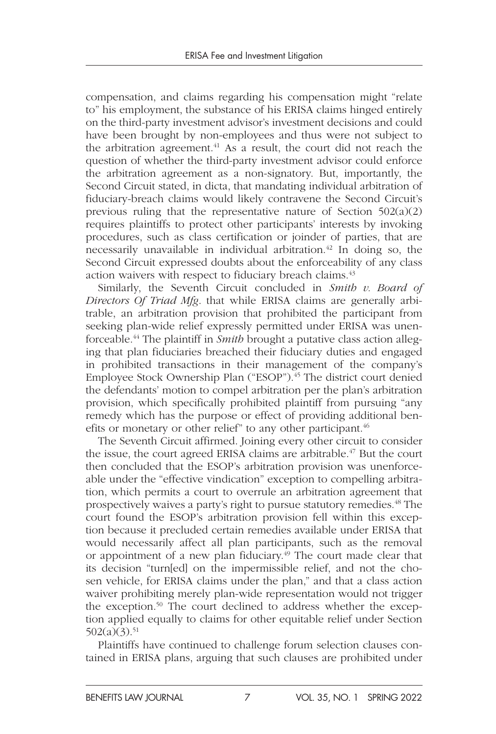compensation, and claims regarding his compensation might "relate to" his employment, the substance of his ERISA claims hinged entirely on the third-party investment advisor's investment decisions and could have been brought by non-employees and thus were not subject to the arbitration agreement.<sup>41</sup> As a result, the court did not reach the question of whether the third-party investment advisor could enforce the arbitration agreement as a non-signatory. But, importantly, the Second Circuit stated, in dicta, that mandating individual arbitration of fiduciary-breach claims would likely contravene the Second Circuit's previous ruling that the representative nature of Section 502(a)(2) requires plaintiffs to protect other participants' interests by invoking procedures, such as class certification or joinder of parties, that are necessarily unavailable in individual arbitration.<sup> $42$ </sup> In doing so, the Second Circuit expressed doubts about the enforceability of any class action waivers with respect to fiduciary breach claims.<sup>43</sup>

Similarly, the Seventh Circuit concluded in *Smith v. Board of Directors Of Triad Mfg*. that while ERISA claims are generally arbitrable, an arbitration provision that prohibited the participant from seeking plan-wide relief expressly permitted under ERISA was unenforceable.44 The plaintiff in *Smith* brought a putative class action alleging that plan fiduciaries breached their fiduciary duties and engaged in prohibited transactions in their management of the company's Employee Stock Ownership Plan ("ESOP").<sup>45</sup> The district court denied the defendants' motion to compel arbitration per the plan's arbitration provision, which specifically prohibited plaintiff from pursuing "any remedy which has the purpose or effect of providing additional benefits or monetary or other relief" to any other participant.<sup>46</sup>

The Seventh Circuit affirmed. Joining every other circuit to consider the issue, the court agreed ERISA claims are arbitrable.<sup>47</sup> But the court then concluded that the ESOP's arbitration provision was unenforceable under the "effective vindication" exception to compelling arbitration, which permits a court to overrule an arbitration agreement that prospectively waives a party's right to pursue statutory remedies.48 The court found the ESOP's arbitration provision fell within this exception because it precluded certain remedies available under ERISA that would necessarily affect all plan participants, such as the removal or appointment of a new plan fiduciary.<sup>49</sup> The court made clear that its decision "turn[ed] on the impermissible relief, and not the chosen vehicle, for ERISA claims under the plan," and that a class action waiver prohibiting merely plan-wide representation would not trigger the exception.<sup>50</sup> The court declined to address whether the exception applied equally to claims for other equitable relief under Section  $502(a)(3).51$ 

Plaintiffs have continued to challenge forum selection clauses contained in ERISA plans, arguing that such clauses are prohibited under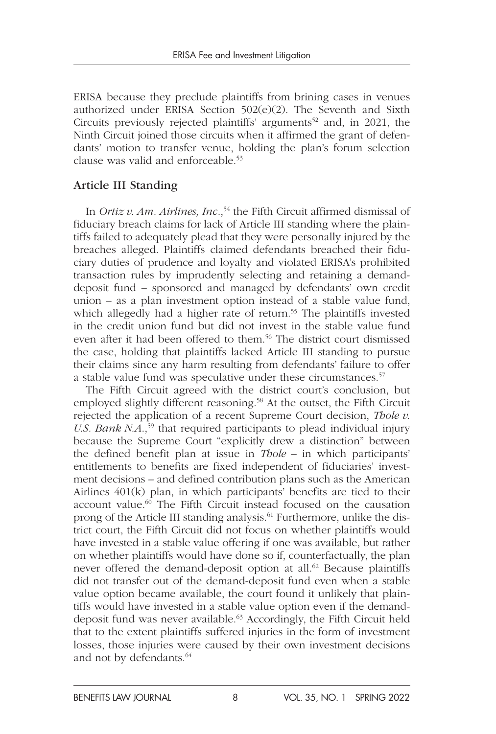ERISA because they preclude plaintiffs from brining cases in venues authorized under ERISA Section 502(e)(2). The Seventh and Sixth Circuits previously rejected plaintiffs' arguments<sup>52</sup> and, in 2021, the Ninth Circuit joined those circuits when it affirmed the grant of defendants' motion to transfer venue, holding the plan's forum selection clause was valid and enforceable.53

#### Article III Standing

In *Ortiz v. Am. Airlines, Inc.*,<sup>54</sup> the Fifth Circuit affirmed dismissal of fiduciary breach claims for lack of Article III standing where the plaintiffs failed to adequately plead that they were personally injured by the breaches alleged. Plaintiffs claimed defendants breached their fiduciary duties of prudence and loyalty and violated ERISA's prohibited transaction rules by imprudently selecting and retaining a demanddeposit fund – sponsored and managed by defendants' own credit union – as a plan investment option instead of a stable value fund, which allegedly had a higher rate of return.<sup>55</sup> The plaintiffs invested in the credit union fund but did not invest in the stable value fund even after it had been offered to them.<sup>56</sup> The district court dismissed the case, holding that plaintiffs lacked Article III standing to pursue their claims since any harm resulting from defendants' failure to offer a stable value fund was speculative under these circumstances.<sup>57</sup>

The Fifth Circuit agreed with the district court's conclusion, but employed slightly different reasoning.<sup>58</sup> At the outset, the Fifth Circuit rejected the application of a recent Supreme Court decision, *Thole v. U.S. Bank N.A.*,<sup>59</sup> that required participants to plead individual injury because the Supreme Court "explicitly drew a distinction" between the defined benefit plan at issue in *Thole –* in which participants' entitlements to benefits are fixed independent of fiduciaries' investment decisions – and defined contribution plans such as the American Airlines 401(k) plan, in which participants' benefits are tied to their account value.<sup>60</sup> The Fifth Circuit instead focused on the causation prong of the Article III standing analysis.<sup>61</sup> Furthermore, unlike the district court, the Fifth Circuit did not focus on whether plaintiffs would have invested in a stable value offering if one was available, but rather on whether plaintiffs would have done so if, counterfactually, the plan never offered the demand-deposit option at all.<sup>62</sup> Because plaintiffs did not transfer out of the demand-deposit fund even when a stable value option became available, the court found it unlikely that plaintiffs would have invested in a stable value option even if the demanddeposit fund was never available.63 Accordingly, the Fifth Circuit held that to the extent plaintiffs suffered injuries in the form of investment losses, those injuries were caused by their own investment decisions and not by defendants.<sup>64</sup>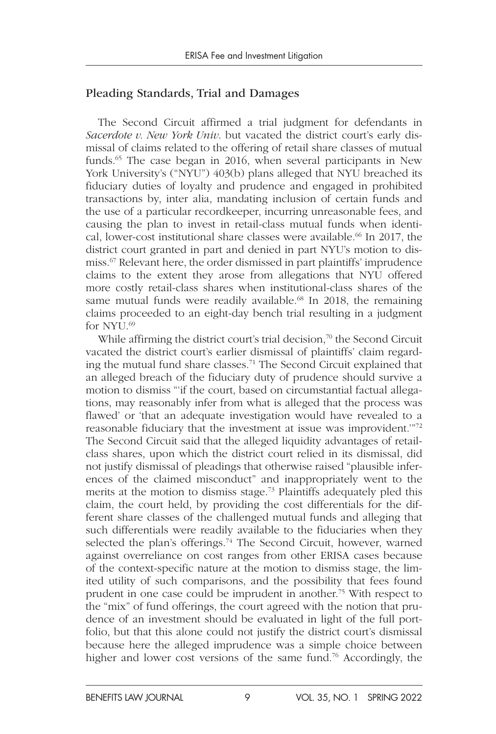#### Pleading Standards, Trial and Damages

The Second Circuit affirmed a trial judgment for defendants in *Sacerdote v. New York Univ*. but vacated the district court's early dismissal of claims related to the offering of retail share classes of mutual funds.<sup>65</sup> The case began in 2016, when several participants in New York University's ("NYU") 403(b) plans alleged that NYU breached its fiduciary duties of loyalty and prudence and engaged in prohibited transactions by, inter alia, mandating inclusion of certain funds and the use of a particular recordkeeper, incurring unreasonable fees, and causing the plan to invest in retail-class mutual funds when identical, lower-cost institutional share classes were available.<sup>66</sup> In 2017, the district court granted in part and denied in part NYU's motion to dismiss.67 Relevant here, the order dismissed in part plaintiffs' imprudence claims to the extent they arose from allegations that NYU offered more costly retail-class shares when institutional-class shares of the same mutual funds were readily available.<sup>68</sup> In 2018, the remaining claims proceeded to an eight-day bench trial resulting in a judgment for NYU.<sup>69</sup>

While affirming the district court's trial decision, $\frac{70}{10}$  the Second Circuit vacated the district court's earlier dismissal of plaintiffs' claim regarding the mutual fund share classes.71 The Second Circuit explained that an alleged breach of the fiduciary duty of prudence should survive a motion to dismiss "'if the court, based on circumstantial factual allegations, may reasonably infer from what is alleged that the process was flawed' or 'that an adequate investigation would have revealed to a reasonable fiduciary that the investment at issue was improvident.'"72 The Second Circuit said that the alleged liquidity advantages of retailclass shares, upon which the district court relied in its dismissal, did not justify dismissal of pleadings that otherwise raised "plausible inferences of the claimed misconduct" and inappropriately went to the merits at the motion to dismiss stage.73 Plaintiffs adequately pled this claim, the court held, by providing the cost differentials for the different share classes of the challenged mutual funds and alleging that such differentials were readily available to the fiduciaries when they selected the plan's offerings.<sup>74</sup> The Second Circuit, however, warned against overreliance on cost ranges from other ERISA cases because of the context-specific nature at the motion to dismiss stage, the limited utility of such comparisons, and the possibility that fees found prudent in one case could be imprudent in another.75 With respect to the "mix" of fund offerings, the court agreed with the notion that prudence of an investment should be evaluated in light of the full portfolio, but that this alone could not justify the district court's dismissal because here the alleged imprudence was a simple choice between higher and lower cost versions of the same fund.<sup>76</sup> Accordingly, the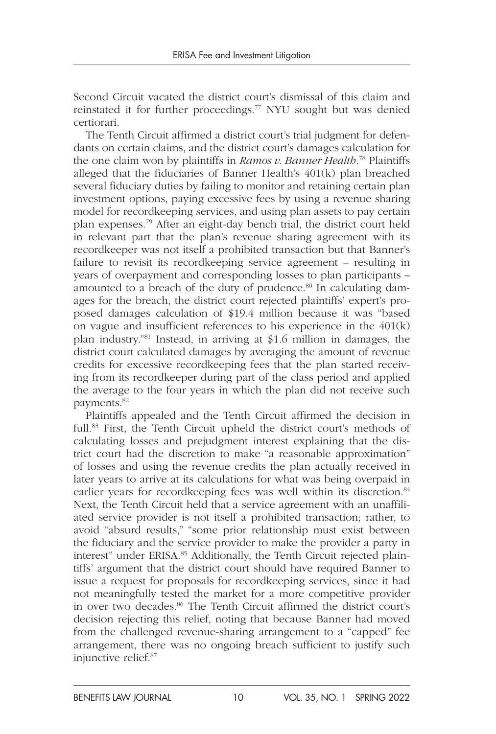Second Circuit vacated the district court's dismissal of this claim and reinstated it for further proceedings.77 NYU sought but was denied certiorari.

The Tenth Circuit affirmed a district court's trial judgment for defendants on certain claims, and the district court's damages calculation for the one claim won by plaintiffs in *Ramos v. Banner Health*. 78 Plaintiffs alleged that the fiduciaries of Banner Health's 401(k) plan breached several fiduciary duties by failing to monitor and retaining certain plan investment options, paying excessive fees by using a revenue sharing model for recordkeeping services, and using plan assets to pay certain plan expenses.79 After an eight-day bench trial, the district court held in relevant part that the plan's revenue sharing agreement with its recordkeeper was not itself a prohibited transaction but that Banner's failure to revisit its recordkeeping service agreement – resulting in years of overpayment and corresponding losses to plan participants – amounted to a breach of the duty of prudence.<sup>80</sup> In calculating damages for the breach, the district court rejected plaintiffs' expert's proposed damages calculation of \$19.4 million because it was "based on vague and insufficient references to his experience in the 401(k) plan industry."81 Instead, in arriving at \$1.6 million in damages, the district court calculated damages by averaging the amount of revenue credits for excessive recordkeeping fees that the plan started receiving from its recordkeeper during part of the class period and applied the average to the four years in which the plan did not receive such payments.82

Plaintiffs appealed and the Tenth Circuit affirmed the decision in full.83 First, the Tenth Circuit upheld the district court's methods of calculating losses and prejudgment interest explaining that the district court had the discretion to make "a reasonable approximation" of losses and using the revenue credits the plan actually received in later years to arrive at its calculations for what was being overpaid in earlier years for recordkeeping fees was well within its discretion.<sup>84</sup> Next, the Tenth Circuit held that a service agreement with an unaffiliated service provider is not itself a prohibited transaction; rather, to avoid "absurd results," "some prior relationship must exist between the fiduciary and the service provider to make the provider a party in interest" under ERISA.<sup>85</sup> Additionally, the Tenth Circuit rejected plaintiffs' argument that the district court should have required Banner to issue a request for proposals for recordkeeping services, since it had not meaningfully tested the market for a more competitive provider in over two decades.<sup>86</sup> The Tenth Circuit affirmed the district court's decision rejecting this relief, noting that because Banner had moved from the challenged revenue-sharing arrangement to a "capped" fee arrangement, there was no ongoing breach sufficient to justify such injunctive relief.87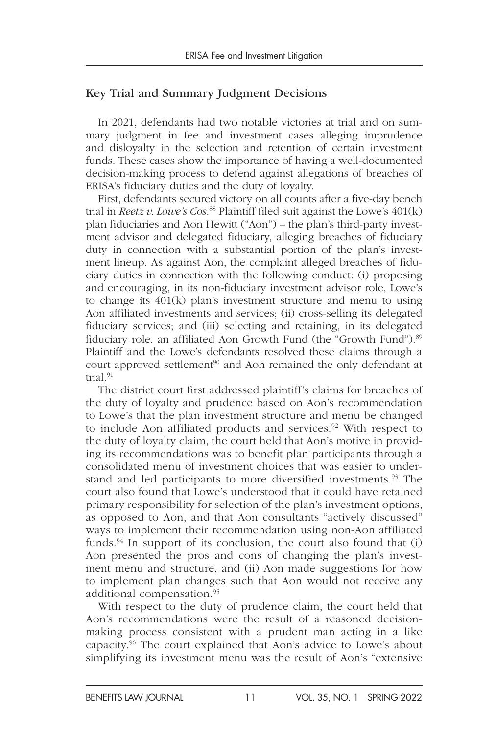#### Key Trial and Summary Judgment Decisions

In 2021, defendants had two notable victories at trial and on summary judgment in fee and investment cases alleging imprudence and disloyalty in the selection and retention of certain investment funds. These cases show the importance of having a well-documented decision-making process to defend against allegations of breaches of ERISA's fiduciary duties and the duty of loyalty.

First, defendants secured victory on all counts after a five-day bench trial in *Reetz v. Lowe's Cos*. 88 Plaintiff filed suit against the Lowe's 401(k) plan fiduciaries and Aon Hewitt ("Aon") – the plan's third-party investment advisor and delegated fiduciary, alleging breaches of fiduciary duty in connection with a substantial portion of the plan's investment lineup. As against Aon, the complaint alleged breaches of fiduciary duties in connection with the following conduct: (i) proposing and encouraging, in its non-fiduciary investment advisor role, Lowe's to change its 401(k) plan's investment structure and menu to using Aon affiliated investments and services; (ii) cross-selling its delegated fiduciary services; and (iii) selecting and retaining, in its delegated fiduciary role, an affiliated Aon Growth Fund (the "Growth Fund").<sup>89</sup> Plaintiff and the Lowe's defendants resolved these claims through a court approved settlement<sup>90</sup> and Aon remained the only defendant at trial<sup>91</sup>

The district court first addressed plaintiff's claims for breaches of the duty of loyalty and prudence based on Aon's recommendation to Lowe's that the plan investment structure and menu be changed to include Aon affiliated products and services.<sup>92</sup> With respect to the duty of loyalty claim, the court held that Aon's motive in providing its recommendations was to benefit plan participants through a consolidated menu of investment choices that was easier to understand and led participants to more diversified investments.<sup>93</sup> The court also found that Lowe's understood that it could have retained primary responsibility for selection of the plan's investment options, as opposed to Aon, and that Aon consultants "actively discussed" ways to implement their recommendation using non-Aon affiliated funds.<sup>94</sup> In support of its conclusion, the court also found that  $(i)$ Aon presented the pros and cons of changing the plan's investment menu and structure, and (ii) Aon made suggestions for how to implement plan changes such that Aon would not receive any additional compensation.95

With respect to the duty of prudence claim, the court held that Aon's recommendations were the result of a reasoned decisionmaking process consistent with a prudent man acting in a like capacity.96 The court explained that Aon's advice to Lowe's about simplifying its investment menu was the result of Aon's "extensive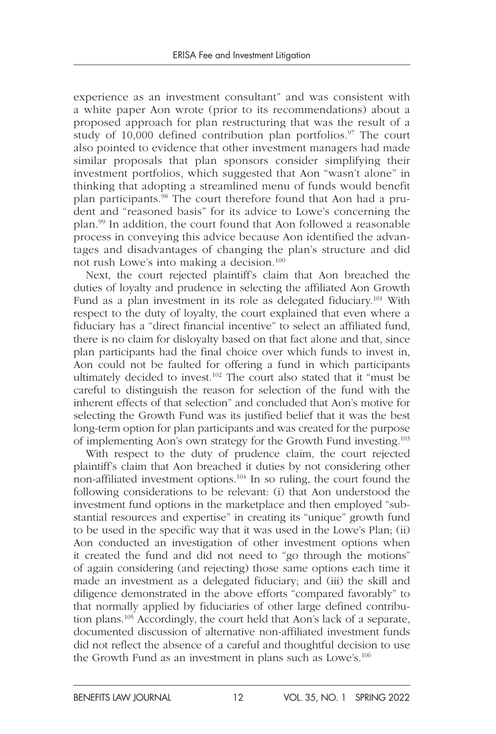experience as an investment consultant" and was consistent with a white paper Aon wrote (prior to its recommendations) about a proposed approach for plan restructuring that was the result of a study of 10,000 defined contribution plan portfolios.<sup>97</sup> The court also pointed to evidence that other investment managers had made similar proposals that plan sponsors consider simplifying their investment portfolios, which suggested that Aon "wasn't alone" in thinking that adopting a streamlined menu of funds would benefit plan participants.98 The court therefore found that Aon had a prudent and "reasoned basis" for its advice to Lowe's concerning the plan.99 In addition, the court found that Aon followed a reasonable process in conveying this advice because Aon identified the advantages and disadvantages of changing the plan's structure and did not rush Lowe's into making a decision.100

Next, the court rejected plaintiff's claim that Aon breached the duties of loyalty and prudence in selecting the affiliated Aon Growth Fund as a plan investment in its role as delegated fiduciary.<sup>101</sup> With respect to the duty of loyalty, the court explained that even where a fiduciary has a "direct financial incentive" to select an affiliated fund, there is no claim for disloyalty based on that fact alone and that, since plan participants had the final choice over which funds to invest in, Aon could not be faulted for offering a fund in which participants ultimately decided to invest.<sup>102</sup> The court also stated that it "must be careful to distinguish the reason for selection of the fund with the inherent effects of that selection" and concluded that Aon's motive for selecting the Growth Fund was its justified belief that it was the best long-term option for plan participants and was created for the purpose of implementing Aon's own strategy for the Growth Fund investing.103

With respect to the duty of prudence claim, the court rejected plaintiff's claim that Aon breached it duties by not considering other non-affiliated investment options.104 In so ruling, the court found the following considerations to be relevant: (i) that Aon understood the investment fund options in the marketplace and then employed "substantial resources and expertise" in creating its "unique" growth fund to be used in the specific way that it was used in the Lowe's Plan; (ii) Aon conducted an investigation of other investment options when it created the fund and did not need to "go through the motions" of again considering (and rejecting) those same options each time it made an investment as a delegated fiduciary; and (iii) the skill and diligence demonstrated in the above efforts "compared favorably" to that normally applied by fiduciaries of other large defined contribution plans.105 Accordingly, the court held that Aon's lack of a separate, documented discussion of alternative non-affiliated investment funds did not reflect the absence of a careful and thoughtful decision to use the Growth Fund as an investment in plans such as Lowe's.106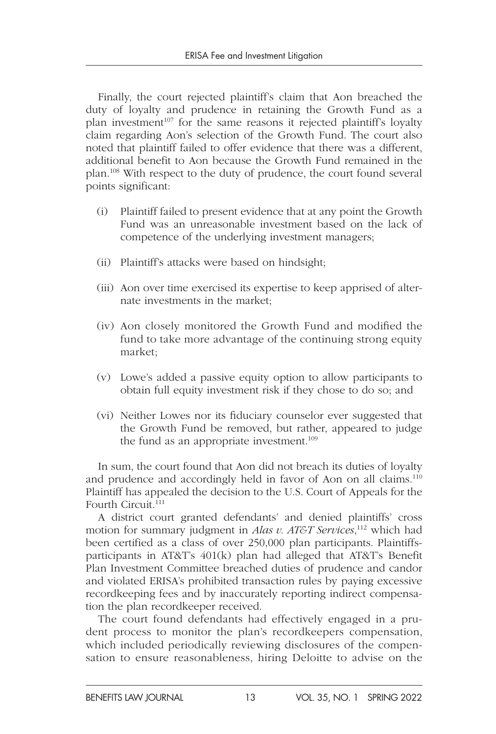Finally, the court rejected plaintiff's claim that Aon breached the duty of loyalty and prudence in retaining the Growth Fund as a plan investment<sup>107</sup> for the same reasons it rejected plaintiff's loyalty claim regarding Aon's selection of the Growth Fund. The court also noted that plaintiff failed to offer evidence that there was a different, additional benefit to Aon because the Growth Fund remained in the plan.108 With respect to the duty of prudence, the court found several points significant:

- (i) Plaintiff failed to present evidence that at any point the Growth Fund was an unreasonable investment based on the lack of competence of the underlying investment managers;
- (ii) Plaintiff's attacks were based on hindsight;
- (iii) Aon over time exercised its expertise to keep apprised of alternate investments in the market;
- (iv) Aon closely monitored the Growth Fund and modified the fund to take more advantage of the continuing strong equity market;
- (v) Lowe's added a passive equity option to allow participants to obtain full equity investment risk if they chose to do so; and
- (vi) Neither Lowes nor its fiduciary counselor ever suggested that the Growth Fund be removed, but rather, appeared to judge the fund as an appropriate investment.<sup>109</sup>

In sum, the court found that Aon did not breach its duties of loyalty and prudence and accordingly held in favor of Aon on all claims.<sup>110</sup> Plaintiff has appealed the decision to the U.S. Court of Appeals for the Fourth Circuit.<sup>111</sup>

A district court granted defendants' and denied plaintiffs' cross motion for summary judgment in *Alas v. AT&T Services*, 112 which had been certified as a class of over 250,000 plan participants. Plaintiffsparticipants in AT&T's 401(k) plan had alleged that AT&T's Benefit Plan Investment Committee breached duties of prudence and candor and violated ERISA's prohibited transaction rules by paying excessive recordkeeping fees and by inaccurately reporting indirect compensation the plan recordkeeper received.

The court found defendants had effectively engaged in a prudent process to monitor the plan's recordkeepers compensation, which included periodically reviewing disclosures of the compensation to ensure reasonableness, hiring Deloitte to advise on the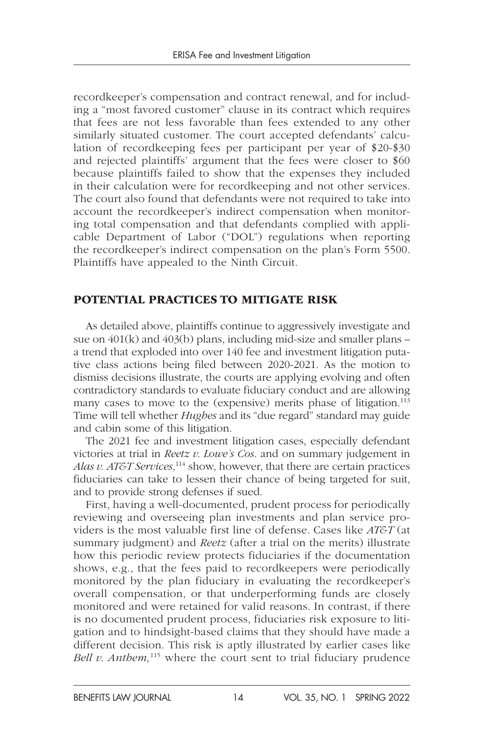recordkeeper's compensation and contract renewal, and for including a "most favored customer" clause in its contract which requires that fees are not less favorable than fees extended to any other similarly situated customer. The court accepted defendants' calculation of recordkeeping fees per participant per year of \$20-\$30 and rejected plaintiffs' argument that the fees were closer to \$60 because plaintiffs failed to show that the expenses they included in their calculation were for recordkeeping and not other services. The court also found that defendants were not required to take into account the recordkeeper's indirect compensation when monitoring total compensation and that defendants complied with applicable Department of Labor ("DOL") regulations when reporting the recordkeeper's indirect compensation on the plan's Form 5500. Plaintiffs have appealed to the Ninth Circuit.

#### POTENTIAL PRACTICES TO MITIGATE RISK

As detailed above, plaintiffs continue to aggressively investigate and sue on 401(k) and 403(b) plans, including mid-size and smaller plans – a trend that exploded into over 140 fee and investment litigation putative class actions being filed between 2020-2021. As the motion to dismiss decisions illustrate, the courts are applying evolving and often contradictory standards to evaluate fiduciary conduct and are allowing many cases to move to the (expensive) merits phase of litigation.<sup>113</sup> Time will tell whether *Hughes* and its "due regard" standard may guide and cabin some of this litigation.

The 2021 fee and investment litigation cases, especially defendant victories at trial in *Reetz v. Lowe's Cos*. and on summary judgement in Alas v. AT&T Services,<sup>114</sup> show, however, that there are certain practices fiduciaries can take to lessen their chance of being targeted for suit, and to provide strong defenses if sued.

First, having a well-documented, prudent process for periodically reviewing and overseeing plan investments and plan service providers is the most valuable first line of defense. Cases like *AT&T* (at summary judgment) and *Reetz* (after a trial on the merits) illustrate how this periodic review protects fiduciaries if the documentation shows, e.g., that the fees paid to recordkeepers were periodically monitored by the plan fiduciary in evaluating the recordkeeper's overall compensation, or that underperforming funds are closely monitored and were retained for valid reasons. In contrast, if there is no documented prudent process, fiduciaries risk exposure to litigation and to hindsight-based claims that they should have made a different decision. This risk is aptly illustrated by earlier cases like *Bell v. Anthem*,<sup>115</sup> where the court sent to trial fiduciary prudence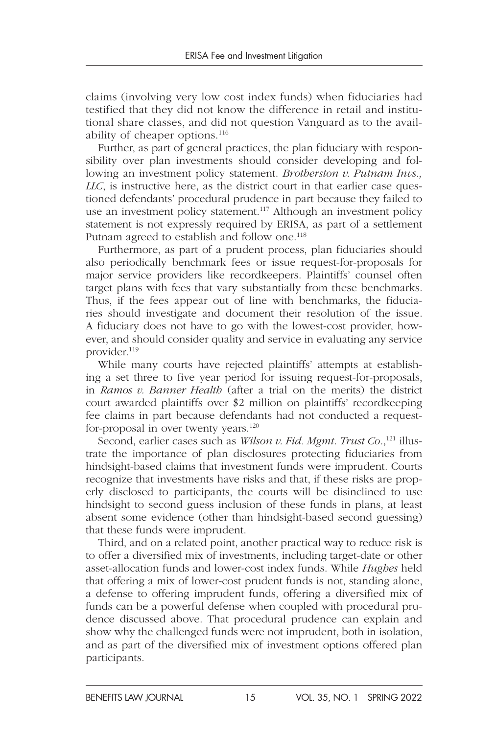claims (involving very low cost index funds) when fiduciaries had testified that they did not know the difference in retail and institutional share classes, and did not question Vanguard as to the availability of cheaper options.<sup>116</sup>

Further, as part of general practices, the plan fiduciary with responsibility over plan investments should consider developing and following an investment policy statement. *Brotherston v. Putnam Invs., LLC*, is instructive here, as the district court in that earlier case questioned defendants' procedural prudence in part because they failed to use an investment policy statement.<sup>117</sup> Although an investment policy statement is not expressly required by ERISA, as part of a settlement Putnam agreed to establish and follow one.<sup>118</sup>

Furthermore, as part of a prudent process, plan fiduciaries should also periodically benchmark fees or issue request-for-proposals for major service providers like recordkeepers. Plaintiffs' counsel often target plans with fees that vary substantially from these benchmarks. Thus, if the fees appear out of line with benchmarks, the fiduciaries should investigate and document their resolution of the issue. A fiduciary does not have to go with the lowest-cost provider, however, and should consider quality and service in evaluating any service provider.119

While many courts have rejected plaintiffs' attempts at establishing a set three to five year period for issuing request-for-proposals, in *Ramos v. Banner Health* (after a trial on the merits) the district court awarded plaintiffs over \$2 million on plaintiffs' recordkeeping fee claims in part because defendants had not conducted a requestfor-proposal in over twenty years.<sup>120</sup>

Second, earlier cases such as *Wilson v. Fid. Mgmt. Trust Co.*,<sup>121</sup> illustrate the importance of plan disclosures protecting fiduciaries from hindsight-based claims that investment funds were imprudent. Courts recognize that investments have risks and that, if these risks are properly disclosed to participants, the courts will be disinclined to use hindsight to second guess inclusion of these funds in plans, at least absent some evidence (other than hindsight-based second guessing) that these funds were imprudent.

Third, and on a related point, another practical way to reduce risk is to offer a diversified mix of investments, including target-date or other asset-allocation funds and lower-cost index funds. While *Hughes* held that offering a mix of lower-cost prudent funds is not, standing alone, a defense to offering imprudent funds, offering a diversified mix of funds can be a powerful defense when coupled with procedural prudence discussed above. That procedural prudence can explain and show why the challenged funds were not imprudent, both in isolation, and as part of the diversified mix of investment options offered plan participants.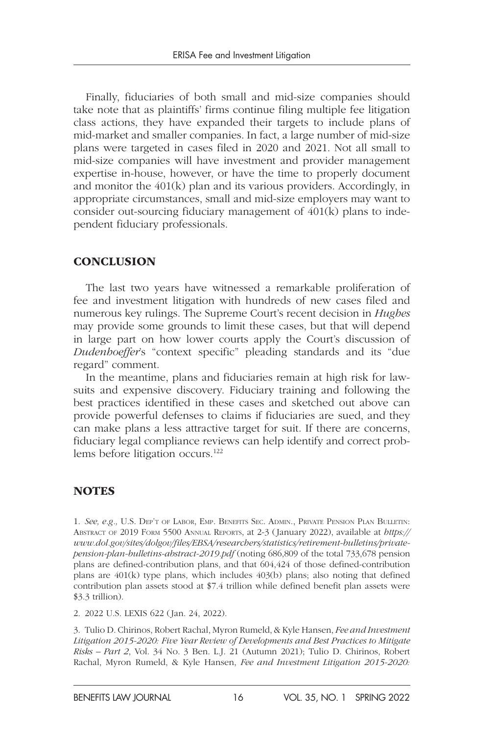Finally, fiduciaries of both small and mid-size companies should take note that as plaintiffs' firms continue filing multiple fee litigation class actions, they have expanded their targets to include plans of mid-market and smaller companies. In fact, a large number of mid-size plans were targeted in cases filed in 2020 and 2021. Not all small to mid-size companies will have investment and provider management expertise in-house, however, or have the time to properly document and monitor the 401(k) plan and its various providers. Accordingly, in appropriate circumstances, small and mid-size employers may want to consider out-sourcing fiduciary management of 401(k) plans to independent fiduciary professionals.

#### **CONCLUSION**

The last two years have witnessed a remarkable proliferation of fee and investment litigation with hundreds of new cases filed and numerous key rulings. The Supreme Court's recent decision in *Hughes* may provide some grounds to limit these cases, but that will depend in large part on how lower courts apply the Court's discussion of *Dudenhoeffer*'s "context specific" pleading standards and its "due regard" comment.

In the meantime, plans and fiduciaries remain at high risk for lawsuits and expensive discovery. Fiduciary training and following the best practices identified in these cases and sketched out above can provide powerful defenses to claims if fiduciaries are sued, and they can make plans a less attractive target for suit. If there are concerns, fiduciary legal compliance reviews can help identify and correct problems before litigation occurs.<sup>122</sup>

#### **NOTES**

1. *See, e.g.,* U.S. Dep't of Labor, Emp. Benefits Sec. Admin., Private Pension Plan Bulletin: Abstract of 2019 Form 5500 Annual Reports, at 2-3 (January 2022), available at *https:// www.dol.gov/sites/dolgov/files/EBSA/researchers/statistics/retirement-bulletins/privatepension-plan-bulletins-abstract-2019.pdf* (noting 686,809 of the total 733,678 pension plans are defined-contribution plans, and that 604,424 of those defined-contribution plans are 401(k) type plans, which includes 403(b) plans; also noting that defined contribution plan assets stood at \$7.4 trillion while defined benefit plan assets were \$3.3 trillion).

2. 2022 U.S. LEXIS 622 (Jan. 24, 2022).

3. Tulio D. Chirinos, Robert Rachal, Myron Rumeld, & Kyle Hansen, *Fee and Investment Litigation 2015-2020: Five Year Review of Developments and Best Practices to Mitigate Risks – Part 2*, Vol. 34 No. 3 Ben. L.J. 21 (Autumn 2021); Tulio D. Chirinos, Robert Rachal, Myron Rumeld, & Kyle Hansen, *Fee and Investment Litigation 2015-2020:*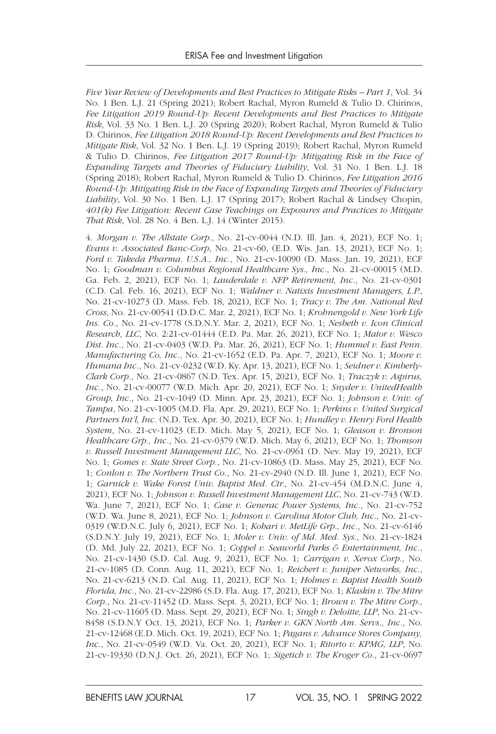*Five Year Review of Developments and Best Practices to Mitigate Risks – Part 1*, Vol. 34 No. 1 Ben. L.J. 21 (Spring 2021); Robert Rachal, Myron Rumeld & Tulio D. Chirinos, *Fee Litigation 2019 Round-Up: Recent Developments and Best Practices to Mitigate Risk*, Vol. 33 No. 1 Ben. L.J. 20 (Spring 2020); Robert Rachal, Myron Rumeld & Tulio D. Chirinos, *Fee Litigation 2018 Round-Up: Recent Developments and Best Practices to Mitigate Risk*, Vol. 32 No. 1 Ben. L.J. 19 (Spring 2019); Robert Rachal, Myron Rumeld & Tulio D. Chirinos, *Fee Litigation 2017 Round-Up: Mitigating Risk in the Face of Expanding Targets and Theories of Fiduciary Liability*, Vol. 31 No. 1 Ben. L.J. 18 (Spring 2018); Robert Rachal, Myron Rumeld & Tulio D. Chirinos, *Fee Litigation 2016 Round-Up: Mitigating Risk in the Face of Expanding Targets and Theories of Fiduciary Liability*, Vol. 30 No. 1 Ben. L.J. 17 (Spring 2017); Robert Rachal & Lindsey Chopin, *401(k) Fee Litigation: Recent Case Teachings on Exposures and Practices to Mitigate That Risk*, Vol. 28 No. 4 Ben. L.J. 14 (Winter 2015).

4. *Morgan v. The Allstate Corp*., No. 21-cv-0044 (N.D. Ill. Jan. 4, 2021), ECF No. 1; *Evans v. Associated Banc-Corp*, No. 21-cv-60, (E.D. Wis. Jan. 13, 2021), ECF No. 1; *Ford v. Takeda Pharma. U.S.A., Inc.*, No. 21-cv-10090 (D. Mass. Jan. 19, 2021), ECF No. 1; *Goodman v. Columbus Regional Healthcare Sys., Inc.*, No. 21-cv-00015 (M.D. Ga. Feb. 2, 2021), ECF No. 1; *Lauderdale v. NFP Retirement, Inc.*, No. 21-cv-0301 (C.D. Cal. Feb. 16, 2021), ECF No. 1; *Waldner v. Natixis Investment Managers, L.P.*, No. 21-cv-10273 (D. Mass. Feb. 18, 2021), ECF No. 1; *Tracy v. The Am. National Red Cross*, No. 21-cv-00541 (D.D.C. Mar. 2, 2021), ECF No. 1; *Krohnengold v. New York Life Ins. Co.*, No. 21-cv-1778 (S.D.N.Y. Mar. 2, 2021), ECF No. 1; *Nesbeth v. Icon Clinical Research, LLC*, No. 2:21-cv-01444 (E.D. Pa. Mar. 26, 2021), ECF No. 1; *Mator v. Wesco Dist. Inc.*, No. 21-cv-0403 (W.D. Pa. Mar. 26, 2021), ECF No. 1; *Hummel v. East Penn. Manufacturing Co, Inc.*, No. 21-cv-1652 (E.D. Pa. Apr. 7, 2021), ECF No. 1; *Moore v. Humana Inc.*, No. 21-cv-0232 (W.D. Ky. Apr. 13, 2021), ECF No. 1; *Seidner v. Kimberly-Clark Corp.*, No. 21-cv-0867 (N.D. Tex. Apr. 15, 2021), ECF No. 1; *Traczyk v. Aspirus, Inc.*, No. 21-cv-00077 (W.D. Mich. Apr. 20, 2021), ECF No. 1; *Snyder v. UnitedHealth Group, Inc.*, No. 21-cv-1049 (D. Minn. Apr. 23, 2021), ECF No. 1; *Johnson v. Univ. of Tampa*, No. 21-cv-1005 (M.D. Fla. Apr. 29, 2021), ECF No. 1; *Perkins v. United Surgical Partners Int'l, Inc.* (N.D. Tex. Apr. 30, 2021), ECF No. 1; *Hundley v. Henry Ford Health System*, No. 21-cv-11023 (E.D. Mich. May 5, 2021), ECF No. 1; *Gleason v. Bronson Healthcare Grp., Inc.*, No. 21-cv-0379 (W.D. Mich. May 6, 2021), ECF No. 1; *Thomson v. Russell Investment Management LLC*, No. 21-cv-0961 (D. Nev. May 19, 2021), ECF No. 1; *Gomes v. State Street Corp.*, No. 21-cv-10863 (D. Mass. May 25, 2021), ECF No. 1; *Conlon v. The Northern Trust Co.*, No. 21-cv-2940 (N.D. Ill. June 1, 2021), ECF No. 1; *Garnick v. Wake Forest Univ. Baptist Med. Ctr.*, No. 21-cv-454 (M.D.N.C. June 4, 2021), ECF No. 1; *Johnson v. Russell Investment Management LLC*, No. 21-cv-743 (W.D. Wa. June 7, 2021), ECF No. 1; *Case v. Generac Power Systems, Inc.*, No. 21-cv-752 (W.D. Wa. June 8, 2021), ECF No. 1; *Johnson v. Carolina Motor Club, Inc.*, No. 21-cv-0319 (W.D.N.C. July 6, 2021), ECF No. 1; *Kohari v. MetLife Grp., Inc.*, No. 21-cv-6146 (S.D.N.Y. July 19, 2021), ECF No. 1; *Moler v. Univ. of Md. Med. Sys.*, No. 21-cv-1824 (D. Md. July 22, 2021), ECF No. 1; *Coppel v. Seaworld Parks & Entertainment, Inc.*, No. 21-cv-1430 (S.D. Cal. Aug. 9, 2021), ECF No. 1; *Carrigan v. Xerox Corp.*, No. 21-cv-1085 (D. Conn. Aug. 11, 2021), ECF No. 1; *Reichert v. Juniper Networks, Inc.*, No. 21-cv-6213 (N.D. Cal. Aug. 11, 2021), ECF No. 1; *Holmes v. Baptist Health South Florida, Inc.*, No. 21-cv-22986 (S.D. Fla. Aug. 17, 2021), ECF No. 1; *Klaskin v. The Mitre Corp.*, No. 21-cv-11452 (D. Mass. Sept. 3, 2021), ECF No. 1; *Brown v. The Mitre Corp.*, No. 21-cv-11605 (D. Mass. Sept. 29, 2021), ECF No. 1; *Singh v. Deloitte, LLP*, No. 21-cv-8458 (S.D.N.Y Oct. 13, 2021), ECF No. 1; *Parker v. GKN North Am. Servs., Inc.*, No. 21-cv-12468 (E.D. Mich. Oct. 19, 2021), ECF No. 1; *Pagans v. Advance Stores Company, Inc.*, No. 21-cv-0549 (W.D. Va. Oct. 20, 2021), ECF No. 1; *Ritorto v. KPMG, LLP*, No. 21-cv-19330 (D.N.J. Oct. 26, 2021), ECF No. 1; *Sigetich v. The Kroger Co.*, 21-cv-0697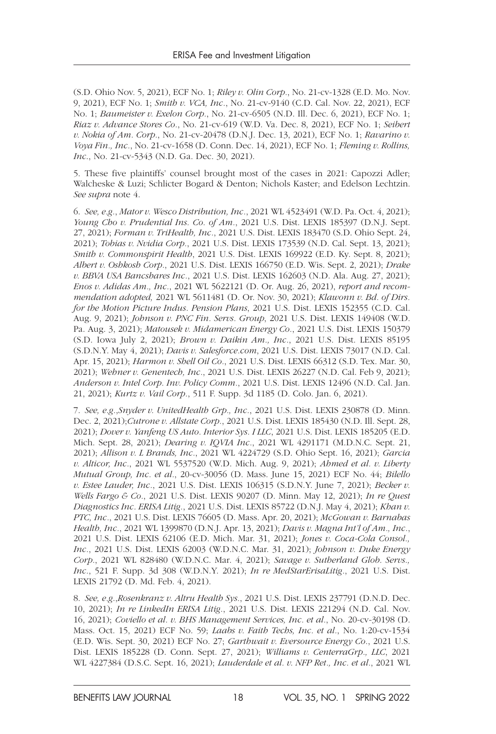(S.D. Ohio Nov. 5, 2021), ECF No. 1; *Riley v. Olin Corp.*, No. 21-cv-1328 (E.D. Mo. Nov. 9, 2021), ECF No. 1; *Smith v. VCA, Inc.*, No. 21-cv-9140 (C.D. Cal. Nov. 22, 2021), ECF No. 1; *Baumeister v. Exelon Corp.*, No. 21-cv-6505 (N.D. Ill. Dec. 6, 2021), ECF No. 1; *Riaz v. Advance Stores Co.*, No. 21-cv-619 (W.D. Va. Dec. 8, 2021), ECF No. 1; *Seibert v. Nokia of Am. Corp.*, No. 21-cv-20478 (D.N.J. Dec. 13, 2021), ECF No. 1; *Ravarino v. Voya Fin., Inc.*, No. 21-cv-1658 (D. Conn. Dec. 14, 2021), ECF No. 1; *Fleming v. Rollins, Inc*., No. 21-cv-5343 (N.D. Ga. Dec. 30, 2021).

5. These five plaintiffs' counsel brought most of the cases in 2021: Capozzi Adler; Walcheske & Luzi; Schlicter Bogard & Denton; Nichols Kaster; and Edelson Lechtzin. *See supra* note 4.

6. *See, e.g.*, *Mator v. Wesco Distribution, Inc.*, 2021 WL 4523491 (W.D. Pa. Oct. 4, 2021); *Young Cho v. Prudential Ins. Co. of Am.*, 2021 U.S. Dist. LEXIS 185397 (D.N.J. Sept. 27, 2021); *Forman v. TriHealth, Inc.*, 2021 U.S. Dist. LEXIS 183470 (S.D. Ohio Sept. 24, 2021); *Tobias v. Nvidia Corp.*, 2021 U.S. Dist. LEXIS 173539 (N.D. Cal. Sept. 13, 2021); *Smith v. Commonspirit Health*, 2021 U.S. Dist. LEXIS 169922 (E.D. Ky. Sept. 8, 2021); *Albert v. Oshkosh Corp.*, 2021 U.S. Dist. LEXIS 166750 (E.D. Wis. Sept. 2, 2021); *Drake v. BBVA USA Bancshares Inc.*, 2021 U.S. Dist. LEXIS 162603 (N.D. Ala. Aug. 27, 2021); *Enos v. Adidas Am., Inc.*, 2021 WL 5622121 (D. Or. Aug. 26, 2021), *report and recommendation adopted,* 2021 WL 5611481 (D. Or. Nov. 30, 2021); *Klawonn v. Bd. of Dirs. for the Motion Picture Indus. Pension Plans*, 2021 U.S. Dist. LEXIS 152355 (C.D. Cal. Aug. 9, 2021); *Johnson v. PNC Fin. Servs. Group*, 2021 U.S. Dist. LEXIS 149408 (W.D. Pa. Aug. 3, 2021); *Matousek v. Midamerican Energy Co.*, 2021 U.S. Dist. LEXIS 150379 (S.D. Iowa July 2, 2021); *Brown v. Daikin Am., Inc.*, 2021 U.S. Dist. LEXIS 85195 (S.D.N.Y. May 4, 2021); *Davis v. Salesforce.com*, 2021 U.S. Dist. LEXIS 73017 (N.D. Cal. Apr. 15, 2021); *Harmon v. Shell Oil Co.*, 2021 U.S. Dist. LEXIS 66312 (S.D. Tex. Mar. 30, 2021); *Wehner v. Genentech, Inc.*, 2021 U.S. Dist. LEXIS 26227 (N.D. Cal. Feb 9, 2021); *Anderson v. Intel Corp. Inv. Policy Comm.*, 2021 U.S. Dist. LEXIS 12496 (N.D. Cal. Jan. 21, 2021); *Kurtz v. Vail Corp.*, 511 F. Supp. 3d 1185 (D. Colo. Jan. 6, 2021).

7. *See, e.g.*,*Snyder v. UnitedHealth Grp., Inc.*, 2021 U.S. Dist. LEXIS 230878 (D. Minn. Dec. 2, 2021);*Cutrone v. Allstate Corp.*, 2021 U.S. Dist. LEXIS 185430 (N.D. Ill. Sept. 28, 2021); *Dover v. Yanfeng US Auto. Interior Sys. I LLC*, 2021 U.S. Dist. LEXIS 185205 (E.D. Mich. Sept. 28, 2021); *Dearing v. IQVIA Inc.*, 2021 WL 4291171 (M.D.N.C. Sept. 21, 2021); *Allison v. L Brands, Inc.*, 2021 WL 4224729 (S.D. Ohio Sept. 16, 2021); *Garcia v. Alticor, Inc.*, 2021 WL 5537520 (W.D. Mich. Aug. 9, 2021); *Ahmed et al. v. Liberty Mutual Group, Inc. et al.*, 20-cv-30056 (D. Mass. June 15, 2021) ECF No. 44; *Bilello v. Estee Lauder, Inc.*, 2021 U.S. Dist. LEXIS 106315 (S.D.N.Y. June 7, 2021); *Becker v. Wells Fargo & Co.*, 2021 U.S. Dist. LEXIS 90207 (D. Minn. May 12, 2021); *In re Quest Diagnostics Inc. ERISA Litig.*, 2021 U.S. Dist. LEXIS 85722 (D.N.J. May 4, 2021); *Khan v. PTC, Inc.*, 2021 U.S. Dist. LEXIS 76605 (D. Mass. Apr. 20, 2021); *McGowan v. Barnabas Health, Inc.*, 2021 WL 1399870 (D.N.J. Apr. 13, 2021); *Davis v. Magna Int'l of Am., Inc.*, 2021 U.S. Dist. LEXIS 62106 (E.D. Mich. Mar. 31, 2021); *Jones v. Coca-Cola Consol., Inc.*, 2021 U.S. Dist. LEXIS 62003 (W.D.N.C. Mar. 31, 2021); *Johnson v. Duke Energy Corp.*, 2021 WL 828480 (W.D.N.C. Mar. 4, 2021); *Savage v. Sutherland Glob. Servs., Inc.*, 521 F. Supp. 3d 308 (W.D.N.Y. 2021); *In re MedStarErisaLitig.*, 2021 U.S. Dist. LEXIS 21792 (D. Md. Feb. 4, 2021).

8. *See, e.g*.,*Rosenkranz v. Altru Health Sys.*, 2021 U.S. Dist. LEXIS 237791 (D.N.D. Dec. 10, 2021); *In re LinkedIn ERISA Litig.*, 2021 U.S. Dist. LEXIS 221294 (N.D. Cal. Nov. 16, 2021); *Coviello et al. v. BHS Management Services, Inc. et al.*, No. 20-cv-30198 (D. Mass. Oct. 15, 2021) ECF No. 59; *Laabs v. Faith Techs, Inc. et al.*, No. 1:20-cv-1534 (E.D. Wis. Sept. 30, 2021) ECF No. 27; *Garthwait v. Eversource Energy Co.*, 2021 U.S. Dist. LEXIS 185228 (D. Conn. Sept. 27, 2021); *Williams v. CenterraGrp., LLC*, 2021 WL 4227384 (D.S.C. Sept. 16, 2021); *Lauderdale et al. v. NFP Ret., Inc. et al.*, 2021 WL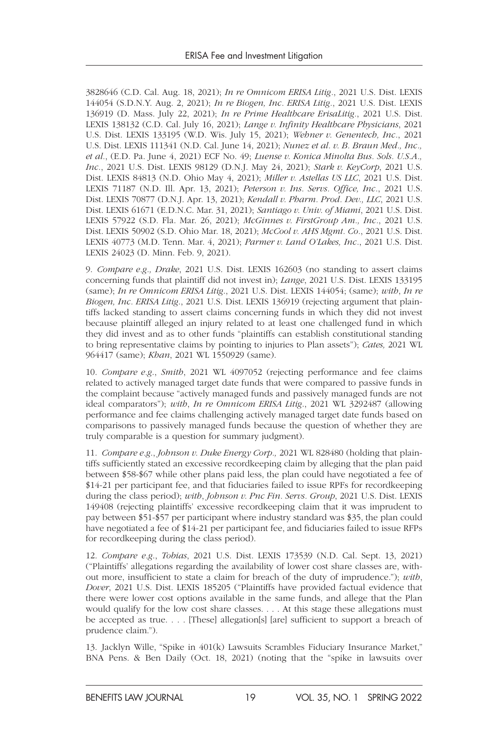3828646 (C.D. Cal. Aug. 18, 2021); *In re Omnicom ERISA Litig.*, 2021 U.S. Dist. LEXIS 144054 (S.D.N.Y. Aug. 2, 2021); *In re Biogen, Inc. ERISA Litig.*, 2021 U.S. Dist. LEXIS 136919 (D. Mass. July 22, 2021); *In re Prime Healthcare ErisaLitig.*, 2021 U.S. Dist. LEXIS 138132 (C.D. Cal. July 16, 2021); *Lange v. Infinity Healthcare Physicians*, 2021 U.S. Dist. LEXIS 133195 (W.D. Wis. July 15, 2021); *Wehner v. Genentech, Inc.*, 2021 U.S. Dist. LEXIS 111341 (N.D. Cal. June 14, 2021); *Nunez et al. v. B. Braun Med., Inc., et al.*, (E.D. Pa. June 4, 2021) ECF No. 49; *Luense v. Konica Minolta Bus. Sols. U.S.A., Inc.*, 2021 U.S. Dist. LEXIS 98129 (D.N.J. May 24, 2021); *Stark v. KeyCorp*, 2021 U.S. Dist. LEXIS 84813 (N.D. Ohio May 4, 2021); *Miller v. Astellas US LLC*, 2021 U.S. Dist. LEXIS 71187 (N.D. Ill. Apr. 13, 2021); *Peterson v. Ins. Servs. Office, Inc.*, 2021 U.S. Dist. LEXIS 70877 (D.N.J. Apr. 13, 2021); *Kendall v. Pharm. Prod. Dev., LLC*, 2021 U.S. Dist. LEXIS 61671 (E.D.N.C. Mar. 31, 2021); *Santiago v. Univ. of Miami*, 2021 U.S. Dist. LEXIS 57922 (S.D. Fla. Mar. 26, 2021); *McGinnes v. FirstGroup Am., Inc.*, 2021 U.S. Dist. LEXIS 50902 (S.D. Ohio Mar. 18, 2021); *McCool v. AHS Mgmt. Co.*, 2021 U.S. Dist. LEXIS 40773 (M.D. Tenn. Mar. 4, 2021); *Parmer v. Land O'Lakes, Inc.*, 2021 U.S. Dist. LEXIS 24023 (D. Minn. Feb. 9, 2021).

9. *Compare e.g., Drake*, 2021 U.S. Dist. LEXIS 162603 (no standing to assert claims concerning funds that plaintiff did not invest in); *Lange*, 2021 U.S. Dist. LEXIS 133195 (same); *In re Omnicom ERISA Litig*., 2021 U.S. Dist. LEXIS 144054; (same); *with*, *In re Biogen, Inc. ERISA Litig*., 2021 U.S. Dist. LEXIS 136919 (rejecting argument that plaintiffs lacked standing to assert claims concerning funds in which they did not invest because plaintiff alleged an injury related to at least one challenged fund in which they did invest and as to other funds "plaintiffs can establish constitutional standing to bring representative claims by pointing to injuries to Plan assets"); *Cates,* 2021 WL 964417 (same); *Khan*, 2021 WL 1550929 (same).

10. *Compare e.g*., *Smith*, 2021 WL 4097052 (rejecting performance and fee claims related to actively managed target date funds that were compared to passive funds in the complaint because "actively managed funds and passively managed funds are not ideal comparators"); *with*, *In re Omnicom ERISA Litig*., 2021 WL 3292487 (allowing performance and fee claims challenging actively managed target date funds based on comparisons to passively managed funds because the question of whether they are truly comparable is a question for summary judgment).

11. *Compare e.g*., *Johnson v. Duke Energy Corp.,* 2021 WL 828480 (holding that plaintiffs sufficiently stated an excessive recordkeeping claim by alleging that the plan paid between \$58-\$67 while other plans paid less, the plan could have negotiated a fee of \$14-21 per participant fee, and that fiduciaries failed to issue RPFs for recordkeeping during the class period); *with*, *Johnson v. Pnc Fin. Servs. Group*, 2021 U.S. Dist. LEXIS 149408 (rejecting plaintiffs' excessive recordkeeping claim that it was imprudent to pay between \$51-\$57 per participant where industry standard was \$35, the plan could have negotiated a fee of \$14-21 per participant fee, and fiduciaries failed to issue RFPs for recordkeeping during the class period).

12. *Compare e.g*., *Tobias*, 2021 U.S. Dist. LEXIS 173539 (N.D. Cal. Sept. 13, 2021) ("Plaintiffs' allegations regarding the availability of lower cost share classes are, without more, insufficient to state a claim for breach of the duty of imprudence."); *with*, *Dover*, 2021 U.S. Dist. LEXIS 185205 ("Plaintiffs have provided factual evidence that there were lower cost options available in the same funds, and allege that the Plan would qualify for the low cost share classes. . . . At this stage these allegations must be accepted as true. . . . [These] allegation[s] [are] sufficient to support a breach of prudence claim.").

13. Jacklyn Wille, "Spike in 401(k) Lawsuits Scrambles Fiduciary Insurance Market," BNA Pens. & Ben Daily (Oct. 18, 2021) (noting that the "spike in lawsuits over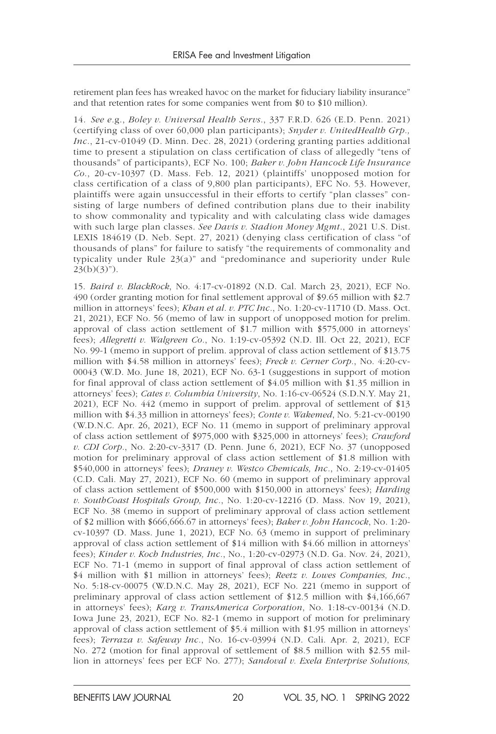retirement plan fees has wreaked havoc on the market for fiduciary liability insurance" and that retention rates for some companies went from \$0 to \$10 million).

14. *See e.*g., *Boley v. Universal Health Servs*., 337 F.R.D. 626 (E.D. Penn. 2021) (certifying class of over 60,000 plan participants); *Snyder v. UnitedHealth Grp., Inc*., 21-cv-01049 (D. Minn. Dec. 28, 2021) (ordering granting parties additional time to present a stipulation on class certification of class of allegedly "tens of thousands" of participants), ECF No. 100; *Baker v. John Hancock Life Insurance Co*., 20-cv-10397 (D. Mass. Feb. 12, 2021) (plaintiffs' unopposed motion for class certification of a class of 9,800 plan participants), EFC No. 53. However, plaintiffs were again unsuccessful in their efforts to certify "plan classes" consisting of large numbers of defined contribution plans due to their inability to show commonality and typicality and with calculating class wide damages with such large plan classes. *See Davis v. Stadion Money Mgmt*., 2021 U.S. Dist. LEXIS 184619 (D. Neb. Sept. 27, 2021) (denying class certification of class "of thousands of plans" for failure to satisfy "the requirements of commonality and typicality under Rule 23(a)" and "predominance and superiority under Rule  $23(b)(3)$ ").

15. *Baird v. BlackRock*, No. 4:17-cv-01892 (N.D. Cal. March 23, 2021), ECF No. 490 (order granting motion for final settlement approval of \$9.65 million with \$2.7 million in attorneys' fees); *Khan et al. v. PTC Inc.*, No. 1:20-cv-11710 (D. Mass. Oct. 21, 2021), ECF No. 56 (memo of law in support of unopposed motion for prelim. approval of class action settlement of \$1.7 million with \$575,000 in attorneys' fees); *Allegretti v. Walgreen Co.*, No. 1:19-cv-05392 (N.D. Ill. Oct 22, 2021), ECF No. 99-1 (memo in support of prelim. approval of class action settlement of \$13.75 million with \$4.58 million in attorneys' fees); *Freck v. Cerner Corp.*, No. 4:20-cv-00043 (W.D. Mo. June 18, 2021), ECF No. 63-1 (suggestions in support of motion for final approval of class action settlement of \$4.05 million with \$1.35 million in attorneys' fees); *Cates v. Columbia University*, No. 1:16-cv-06524 (S.D.N.Y. May 21, 2021), ECF No. 442 (memo in support of prelim. approval of settlement of \$13 million with \$4.33 million in attorneys' fees); *Conte v. Wakemed*, No. 5:21-cv-00190 (W.D.N.C. Apr. 26, 2021), ECF No. 11 (memo in support of preliminary approval of class action settlement of \$975,000 with \$325,000 in attorneys' fees); *Crawford v. CDI Corp.*, No. 2:20-cv-3317 (D. Penn. June 6, 2021), ECF No. 37 (unopposed motion for preliminary approval of class action settlement of \$1.8 million with \$540,000 in attorneys' fees); *Draney v. Westco Chemicals, Inc.*, No. 2:19-cv-01405 (C.D. Cali. May 27, 2021), ECF No. 60 (memo in support of preliminary approval of class action settlement of \$500,000 with \$150,000 in attorneys' fees); *Harding v. SouthCoast Hospitals Group, Inc.*, No. 1:20-cv-12216 (D. Mass. Nov 19, 2021), ECF No. 38 (memo in support of preliminary approval of class action settlement of \$2 million with \$666,666.67 in attorneys' fees); *Baker v. John Hancock*, No. 1:20 cv-10397 (D. Mass. June 1, 2021), ECF No. 63 (memo in support of preliminary approval of class action settlement of \$14 million with \$4.66 million in attorneys' fees); *Kinder v. Koch Industries, Inc.*, No., 1:20-cv-02973 (N.D. Ga. Nov. 24, 2021), ECF No. 71-1 (memo in support of final approval of class action settlement of \$4 million with \$1 million in attorneys' fees); *Reetz v. Lowes Companies, Inc.*, No. 5:18-cv-00075 (W.D.N.C. May 28, 2021), ECF No. 221 (memo in support of preliminary approval of class action settlement of \$12.5 million with \$4,166,667 in attorneys' fees); *Karg v. TransAmerica Corporation*, No. 1:18-cv-00134 (N.D. Iowa June 23, 2021), ECF No. 82-1 (memo in support of motion for preliminary approval of class action settlement of \$5.4 million with \$1.95 million in attorneys' fees); *Terraza v. Safeway Inc.*, No. 16-cv-03994 (N.D. Cali. Apr. 2, 2021), ECF No. 272 (motion for final approval of settlement of \$8.5 million with \$2.55 million in attorneys' fees per ECF No. 277); *Sandoval v. Exela Enterprise Solutions,*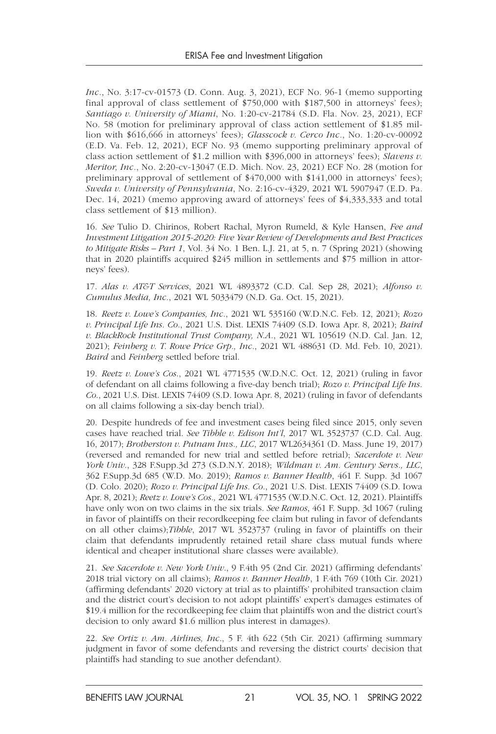*Inc.*, No. 3:17-cv-01573 (D. Conn. Aug. 3, 2021), ECF No. 96-1 (memo supporting final approval of class settlement of \$750,000 with \$187,500 in attorneys' fees); *Santiago v. University of Miami*, No. 1:20-cv-21784 (S.D. Fla. Nov. 23, 2021), ECF No. 58 (motion for preliminary approval of class action settlement of \$1.85 million with \$616,666 in attorneys' fees); *Glasscock v. Cerco Inc.*, No. 1:20-cv-00092 (E.D. Va. Feb. 12, 2021), ECF No. 93 (memo supporting preliminary approval of class action settlement of \$1.2 million with \$396,000 in attorneys' fees); *Slavens v. Meritor, Inc.*, No. 2:20-cv-13047 (E.D. Mich. Nov. 23, 2021) ECF No. 28 (motion for preliminary approval of settlement of \$470,000 with \$141,000 in attorneys' fees); *Sweda v. University of Pennsylvania*, No. 2:16-cv-4329, 2021 WL 5907947 (E.D. Pa. Dec. 14, 2021) (memo approving award of attorneys' fees of \$4,333,333 and total class settlement of \$13 million).

16. *See* Tulio D. Chirinos, Robert Rachal, Myron Rumeld, & Kyle Hansen, *Fee and Investment Litigation 2015-2020: Five Year Review of Developments and Best Practices to Mitigate Risks – Part 1*, Vol. 34 No. 1 Ben. L.J. 21, at 5, n. 7 (Spring 2021) (showing that in 2020 plaintiffs acquired \$245 million in settlements and \$75 million in attorneys' fees).

17. *Alas v. AT&T Services*, 2021 WL 4893372 (C.D. Cal. Sep 28, 2021); *Alfonso v. Cumulus Media, Inc.*, 2021 WL 5033479 (N.D. Ga. Oct. 15, 2021).

18. *Reetz v. Lowe's Companies, Inc.*, 2021 WL 535160 (W.D.N.C. Feb. 12, 2021); *Rozo v. Principal Life Ins. Co*., 2021 U.S. Dist. LEXIS 74409 (S.D. Iowa Apr. 8, 2021); *Baird v. BlackRock Institutional Trust Company, N.A.*, 2021 WL 105619 (N.D. Cal. Jan. 12, 2021); *Feinberg v. T. Rowe Price Grp., Inc.*, 2021 WL 488631 (D. Md. Feb. 10, 2021). *Baird* and *Feinberg* settled before trial.

19. *Reetz v. Lowe's Cos*., 2021 WL 4771535 (W.D.N.C. Oct. 12, 2021) (ruling in favor of defendant on all claims following a five-day bench trial); *Rozo v. Principal Life Ins. Co*., 2021 U.S. Dist. LEXIS 74409 (S.D. Iowa Apr. 8, 2021) (ruling in favor of defendants on all claims following a six-day bench trial).

20. Despite hundreds of fee and investment cases being filed since 2015, only seven cases have reached trial. *See Tibble v. Edison Int'l*, 2017 WL 3523737 (C.D. Cal. Aug. 16, 2017); *Brotherston v. Putnam Invs., LLC*, 2017 WL2634361 (D. Mass. June 19, 2017) (reversed and remanded for new trial and settled before retrial); *Sacerdote v. New York Univ*., 328 F.Supp.3d 273 (S.D.N.Y. 2018); *Wildman v. Am. Century Servs., LLC*, 362 F.Supp.3d 685 (W.D. Mo. 2019); *Ramos v. Banner Health*, 461 F. Supp. 3d 1067 (D. Colo. 2020); *Rozo v. Principal Life Ins. Co*., 2021 U.S. Dist. LEXIS 74409 (S.D. Iowa Apr. 8, 2021); *Reetz v. Lowe's Cos.,* 2021 WL 4771535 (W.D.N.C. Oct. 12, 2021). Plaintiffs have only won on two claims in the six trials. *See Ramos*, 461 F. Supp. 3d 1067 (ruling in favor of plaintiffs on their recordkeeping fee claim but ruling in favor of defendants on all other claims);*Tibble*, 2017 WL 3523737 (ruling in favor of plaintiffs on their claim that defendants imprudently retained retail share class mutual funds where identical and cheaper institutional share classes were available).

21. *See Sacerdote v. New York Univ*., 9 F.4th 95 (2nd Cir. 2021) (affirming defendants' 2018 trial victory on all claims); *Ramos v. Banner Health*, 1 F.4th 769 (10th Cir. 2021) (affirming defendants' 2020 victory at trial as to plaintiffs' prohibited transaction claim and the district court's decision to not adopt plaintiffs' expert's damages estimates of \$19.4 million for the recordkeeping fee claim that plaintiffs won and the district court's decision to only award \$1.6 million plus interest in damages).

22. *See Ortiz v. Am. Airlines, Inc*., 5 F. 4th 622 (5th Cir. 2021) (affirming summary judgment in favor of some defendants and reversing the district courts' decision that plaintiffs had standing to sue another defendant).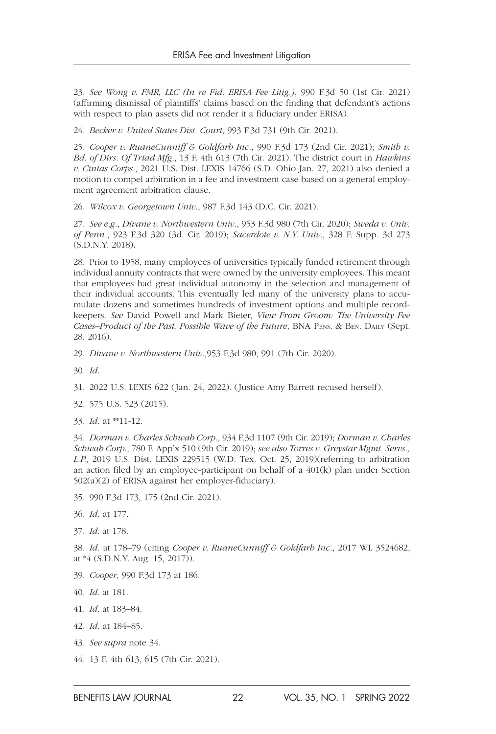23. *See Wong v. FMR, LLC (In re Fid. ERISA Fee Litig.)*, 990 F.3d 50 (1st Cir. 2021) (affirming dismissal of plaintiffs' claims based on the finding that defendant's actions with respect to plan assets did not render it a fiduciary under ERISA).

24. *Becker v. United States Dist. Court*, 993 F.3d 731 (9th Cir. 2021).

25. *Cooper v. RuaneCunniff & Goldfarb Inc*., 990 F.3d 173 (2nd Cir. 2021); *Smith v. Bd. of Dirs. Of Triad Mfg*., 13 F. 4th 613 (7th Cir. 2021). The district court in *Hawkins v. Cintas Corps*., 2021 U.S. Dist. LEXIS 14766 (S.D. Ohio Jan. 27, 2021) also denied a motion to compel arbitration in a fee and investment case based on a general employment agreement arbitration clause.

26. *Wilcox v. Georgetown Univ*., 987 F.3d 143 (D.C. Cir. 2021).

27. *See e.g*., *Divane v. Northwestern Univ*., 953 F.3d 980 (7th Cir. 2020); *Sweda v. Univ. of Penn.*, 923 F.3d 320 (3d. Cir. 2019); *Sacerdote v. N.Y. Univ*., 328 F. Supp. 3d 273 (S.D.N.Y. 2018).

28. Prior to 1958, many employees of universities typically funded retirement through individual annuity contracts that were owned by the university employees. This meant that employees had great individual autonomy in the selection and management of their individual accounts. This eventually led many of the university plans to accumulate dozens and sometimes hundreds of investment options and multiple recordkeepers. *See* David Powell and Mark Bieter, *View From Groom: The University Fee Cases–Product of the Past, Possible Wave of the Future*, BNA Pens. & Ben. Daily (Sept. 28, 2016).

29. *Divane v. Northwestern Univ*.,953 F.3d 980, 991 (7th Cir. 2020).

30. *Id*.

31. 2022 U.S. LEXIS 622 (Jan. 24, 2022). (Justice Amy Barrett recused herself).

32. 575 U.S. 523 (2015).

33. *Id.* at \*\*11-12.

34. *Dorman v. Charles Schwab Corp*., 934 F.3d 1107 (9th Cir. 2019); *Dorman v. Charles Schwab Corp*., 780 F. App'x 510 (9th Cir. 2019); *see also Torres v. Greystar Mgmt. Servs., L.P.,* 2019 U.S. Dist. LEXIS 229515 (W.D. Tex. Oct. 25, 2019)(referring to arbitration an action filed by an employee-participant on behalf of a 401(k) plan under Section 502(a)(2) of ERISA against her employer-fiduciary).

- 35. 990 F.3d 173, 175 (2nd Cir. 2021).
- 36. *Id.* at 177.
- 37. *Id.* at 178.

38. *Id.* at 178–79 (citing *Cooper v. RuaneCunniff & Goldfarb Inc.*, 2017 WL 3524682, at \*4 (S.D.N.Y. Aug. 15, 2017)).

- 39. *Cooper*, 990 F.3d 173 at 186.
- 40. *Id.* at 181.
- 41. *Id.* at 183–84.
- 42. *Id.* at 184–85.
- 43. *See supra* note 34.
- 44. 13 F. 4th 613, 615 (7th Cir. 2021).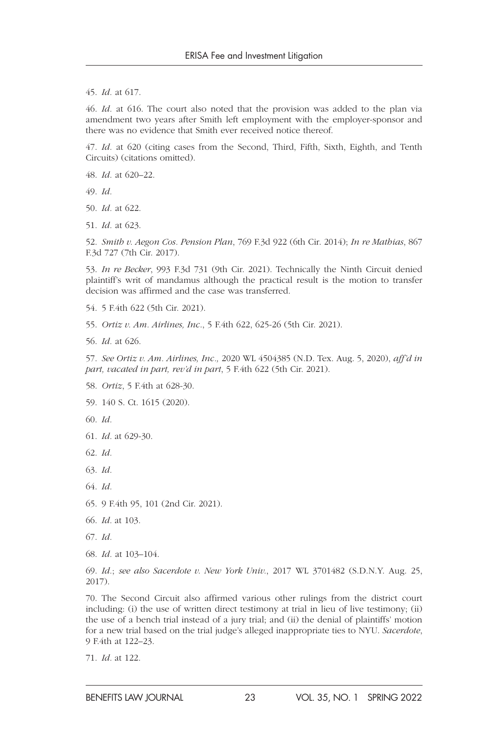45. *Id.* at 617.

46. *Id.* at 616. The court also noted that the provision was added to the plan via amendment two years after Smith left employment with the employer-sponsor and there was no evidence that Smith ever received notice thereof.

47. *Id.* at 620 (citing cases from the Second, Third, Fifth, Sixth, Eighth, and Tenth Circuits) (citations omitted).

48. *Id.* at 620–22.

49. *Id.*

50. *Id.* at 622.

51. *Id.* at 623.

52. *Smith v. Aegon Cos. Pension Plan*, 769 F.3d 922 (6th Cir. 2014); *In re Mathias*, 867 F.3d 727 (7th Cir. 2017).

53. *In re Becker*, 993 F.3d 731 (9th Cir. 2021). Technically the Ninth Circuit denied plaintiff's writ of mandamus although the practical result is the motion to transfer decision was affirmed and the case was transferred.

54. 5 F.4th 622 (5th Cir. 2021).

55. *Ortiz v. Am. Airlines, Inc*., 5 F.4th 622, 625-26 (5th Cir. 2021).

56. *Id.* at 626.

57. *See Ortiz v. Am. Airlines, Inc.,* 2020 WL 4504385 (N.D. Tex. Aug. 5, 2020), *aff'd in part, vacated in part, rev'd in part*, 5 F.4th 622 (5th Cir. 2021).

58. *Ortiz*, 5 F.4th at 628-30.

59. 140 S. Ct. 1615 (2020).

60. *Id.*

61. *Id.* at 629-30.

62. *Id.*

63. *Id.*

64. *Id.*

65. 9 F.4th 95, 101 (2nd Cir. 2021).

66. *Id.* at 103.

67. *Id.*

68. *Id.* at 103–104.

69. *Id.*; *see also Sacerdote v. New York Univ.*, 2017 WL 3701482 (S.D.N.Y. Aug. 25, 2017).

70. The Second Circuit also affirmed various other rulings from the district court including: (i) the use of written direct testimony at trial in lieu of live testimony; (ii) the use of a bench trial instead of a jury trial; and (ii) the denial of plaintiffs' motion for a new trial based on the trial judge's alleged inappropriate ties to NYU. *Sacerdote*, 9 F.4th at 122–23.

71. *Id.* at 122.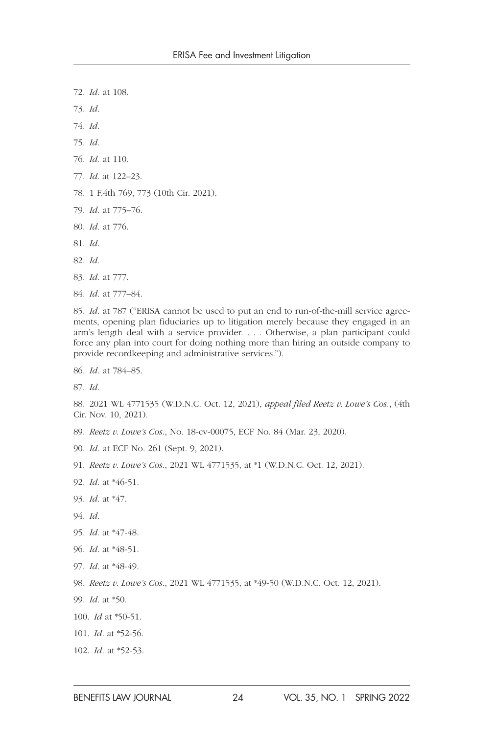- 72. *Id.* at 108.
- 73. *Id.*
- 74. *Id.*
- 75. *Id.*
- 76. *Id.* at 110.
- 77. *Id.* at 122–23.
- 78. 1 F.4th 769, 773 (10th Cir. 2021).
- 79. *Id.* at 775–76.
- 80. *Id.* at 776.
- 81. *Id*.
- 82. *Id*.
- 83. *Id.* at 777.
- 84. *Id.* at 777–84.

85. *Id.* at 787 ("ERISA cannot be used to put an end to run-of-the-mill service agreements, opening plan fiduciaries up to litigation merely because they engaged in an arm's length deal with a service provider. . . . Otherwise, a plan participant could force any plan into court for doing nothing more than hiring an outside company to provide recordkeeping and administrative services.").

86. *Id.* at 784–85.

87. *Id.*

- 88. 2021 WL 4771535 (W.D.N.C. Oct. 12, 2021), *appeal filed Reetz v. Lowe's Cos.*, (4th Cir. Nov. 10, 2021).
- 89. *Reetz v. Lowe's Cos*., No. 18-cv-00075, ECF No. 84 (Mar. 23, 2020).
- 90. *Id.* at ECF No. 261 (Sept. 9, 2021).
- 91. *Reetz v. Lowe's Cos*., 2021 WL 4771535, at \*1 (W.D.N.C. Oct. 12, 2021).
- 92. *Id.* at \*46-51.
- 93. *Id.* at \*47.
- 94. *Id.*
- 95. *Id.* at \*47-48.
- 96. *Id.* at \*48-51.
- 97. *Id.* at \*48-49.
- 98. *Reetz v. Lowe's Cos*., 2021 WL 4771535, at \*49-50 (W.D.N.C. Oct. 12, 2021).
- 99. *Id.* at \*50.
- 100. *Id* at \*50-51.
- 101. *Id.* at \*52-56.
- 102. *Id.* at \*52-53.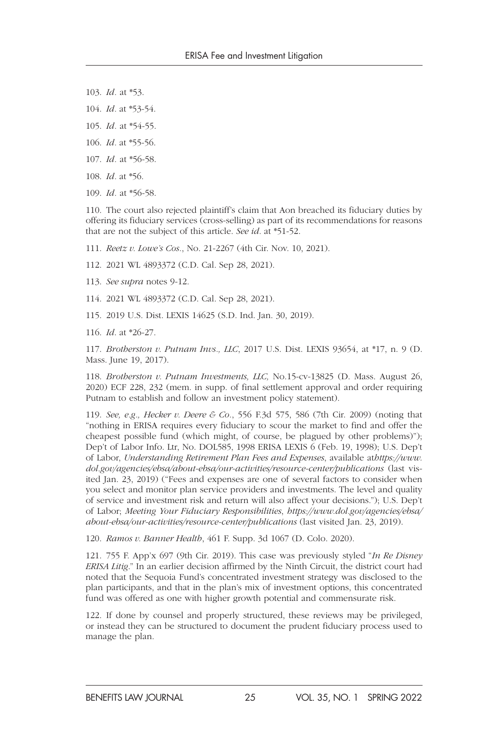- 103. *Id.* at \*53.
- 104. *Id.* at \*53-54.
- 105. *Id.* at \*54-55.
- 106. *Id.* at \*55-56.
- 107. *Id.* at \*56-58.
- 108. *Id.* at \*56.
- 109. *Id.* at \*56-58.

110. The court also rejected plaintiff's claim that Aon breached its fiduciary duties by offering its fiduciary services (cross-selling) as part of its recommendations for reasons that are not the subject of this article. *See id.* at \*51-52.

- 111. *Reetz v. Lowe's Cos.*, No. 21-2267 (4th Cir. Nov. 10, 2021).
- 112. 2021 WL 4893372 (C.D. Cal. Sep 28, 2021).
- 113. *See supra* notes 9-12.
- 114. 2021 WL 4893372 (C.D. Cal. Sep 28, 2021).
- 115. 2019 U.S. Dist. LEXIS 14625 (S.D. Ind. Jan. 30, 2019).
- 116. *Id*. at \*26-27.

117. *Brotherston v. Putnam Invs., LLC*, 2017 U.S. Dist. LEXIS 93654, at \*17, n. 9 (D. Mass. June 19, 2017).

118. *Brotherston v. Putnam Investments, LLC,* No.15-cv-13825 (D. Mass. August 26, 2020) ECF 228, 232 (mem. in supp. of final settlement approval and order requiring Putnam to establish and follow an investment policy statement).

119. *See, e.g., Hecker v. Deere & Co.*, 556 F.3d 575, 586 (7th Cir. 2009) (noting that "nothing in ERISA requires every fiduciary to scour the market to find and offer the cheapest possible fund (which might, of course, be plagued by other problems)"); Dep't of Labor Info. Ltr, No. DOL585, 1998 ERISA LEXIS 6 (Feb. 19, 1998); U.S. Dep't of Labor, *Understanding Retirement Plan Fees and Expenses*, available at*https://www. dol.gov/agencies/ebsa/about-ebsa/our-activities/resource-center/publications* (last visited Jan. 23, 2019) ("Fees and expenses are one of several factors to consider when you select and monitor plan service providers and investments. The level and quality of service and investment risk and return will also affect your decisions."); U.S. Dep't of Labor; *Meeting Your Fiduciary Responsibilities*, *https://www.dol.gov/agencies/ebsa/ about-ebsa/our-activities/resource-center/publications* (last visited Jan. 23, 2019).

120. *Ramos v. Banner Health*, 461 F. Supp. 3d 1067 (D. Colo. 2020).

121. 755 F. App'x 697 (9th Cir. 2019). This case was previously styled "*In Re Disney ERISA Litig*." In an earlier decision affirmed by the Ninth Circuit, the district court had noted that the Sequoia Fund's concentrated investment strategy was disclosed to the plan participants, and that in the plan's mix of investment options, this concentrated fund was offered as one with higher growth potential and commensurate risk.

122. If done by counsel and properly structured, these reviews may be privileged, or instead they can be structured to document the prudent fiduciary process used to manage the plan.